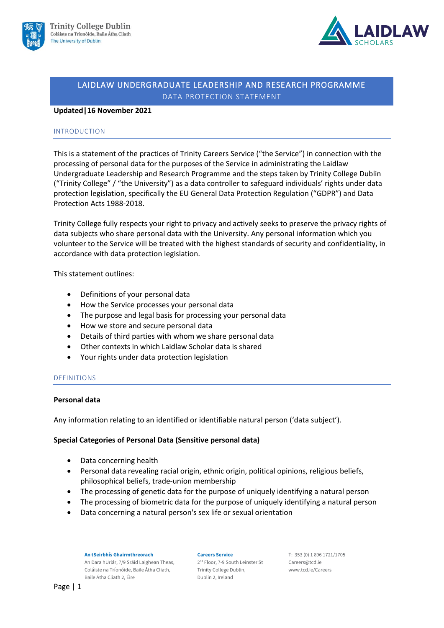



# LAIDLAW UNDERGRADUATE LEADERSHIP AND RESEARCH PROGRAMME DATA PROTECTION STATEMENT

## **Updated|16 November 2021**

## INTRODUCTION

This is a statement of the practices of Trinity Careers Service ("the Service") in connection with the processing of personal data for the purposes of the Service in administrating the Laidlaw Undergraduate Leadership and Research Programme and the steps taken by Trinity College Dublin ("Trinity College" / "the University") as a data controller to safeguard individuals' rights under data protection legislation, specifically the EU General Data Protection Regulation ("GDPR") and Data Protection Acts 1988-2018.

Trinity College fully respects your right to privacy and actively seeks to preserve the privacy rights of data subjects who share personal data with the University. Any personal information which you volunteer to the Service will be treated with the highest standards of security and confidentiality, in accordance with data protection legislation.

This statement outlines:

- Definitions of your personal data
- How the Service processes your personal data
- The purpose and legal basis for processing your personal data
- How we store and secure personal data
- Details of third parties with whom we share personal data
- Other contexts in which Laidlaw Scholar data is shared
- Your rights under data protection legislation

### DEFINITIONS

### **Personal data**

Any information relating to an identified or identifiable natural person ('data subject').

### **Special Categories of Personal Data (Sensitive personal data)**

- Data concerning health
- Personal data revealing racial origin, ethnic origin, political opinions, religious beliefs, philosophical beliefs, trade-union membership
- The processing of genetic data for the purpose of uniquely identifying a natural person
- The processing of biometric data for the purpose of uniquely identifying a natural person
- Data concerning a natural person's sex life or sexual orientation

**An tSeirbhís Ghairmthreorach** An Dara hUrlár, 7/9 Sráid Laighean Theas, Coláiste na Tríonóide, Baile Átha Cliath, Baile Átha Cliath 2, Éire

#### **Careers Service**

2 nd Floor, 7-9 South Leinster St Trinity College Dublin, Dublin 2, Ireland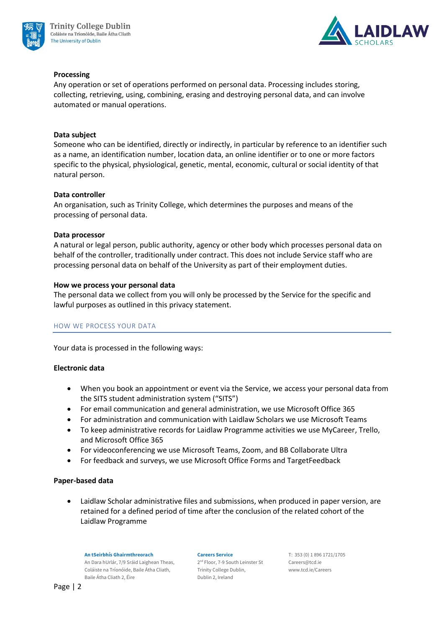



## **Processing**

Any operation or set of operations performed on personal data. Processing includes storing, collecting, retrieving, using, combining, erasing and destroying personal data, and can involve automated or manual operations.

## **Data subject**

Someone who can be identified, directly or indirectly, in particular by reference to an identifier such as a name, an identification number, location data, an online identifier or to one or more factors specific to the physical, physiological, genetic, mental, economic, cultural or social identity of that natural person.

## **Data controller**

An organisation, such as Trinity College, which determines the purposes and means of the processing of personal data.

## **Data processor**

A natural or legal person, public authority, agency or other body which processes personal data on behalf of the controller, traditionally under contract. This does not include Service staff who are processing personal data on behalf of the University as part of their employment duties.

## **How we process your personal data**

The personal data we collect from you will only be processed by the Service for the specific and lawful purposes as outlined in this privacy statement.

### HOW WE PROCESS YOUR DATA

Your data is processed in the following ways:

### **Electronic data**

- When you book an appointment or event via the Service, we access your personal data from the SITS student administration system ("SITS")
- For email communication and general administration, we use Microsoft Office 365
- For administration and communication with Laidlaw Scholars we use Microsoft Teams
- To keep administrative records for Laidlaw Programme activities we use MyCareer, Trello, and Microsoft Office 365
- For videoconferencing we use Microsoft Teams, Zoom, and BB Collaborate Ultra
- For feedback and surveys, we use Microsoft Office Forms and TargetFeedback

### **Paper-based data**

• Laidlaw Scholar administrative files and submissions, when produced in paper version, are retained for a defined period of time after the conclusion of the related cohort of the Laidlaw Programme

**An tSeirbhís Ghairmthreorach** An Dara hUrlár, 7/9 Sráid Laighean Theas, Coláiste na Tríonóide, Baile Átha Cliath, Baile Átha Cliath 2, Éire

#### **Careers Service**

2 nd Floor, 7-9 South Leinster St Trinity College Dublin, Dublin 2, Ireland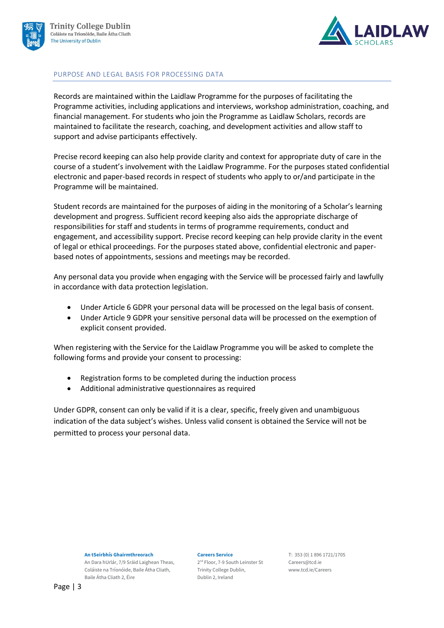



## PURPOSE AND LEGAL BASIS FOR PROCESSING DATA

Records are maintained within the Laidlaw Programme for the purposes of facilitating the Programme activities, including applications and interviews, workshop administration, coaching, and financial management. For students who join the Programme as Laidlaw Scholars, records are maintained to facilitate the research, coaching, and development activities and allow staff to support and advise participants effectively.

Precise record keeping can also help provide clarity and context for appropriate duty of care in the course of a student's involvement with the Laidlaw Programme. For the purposes stated confidential electronic and paper-based records in respect of students who apply to or/and participate in the Programme will be maintained.

Student records are maintained for the purposes of aiding in the monitoring of a Scholar's learning development and progress. Sufficient record keeping also aids the appropriate discharge of responsibilities for staff and students in terms of programme requirements, conduct and engagement, and accessibility support. Precise record keeping can help provide clarity in the event of legal or ethical proceedings. For the purposes stated above, confidential electronic and paperbased notes of appointments, sessions and meetings may be recorded.

Any personal data you provide when engaging with the Service will be processed fairly and lawfully in accordance with data protection legislation.

- Under Article 6 GDPR your personal data will be processed on the legal basis of consent.
- Under Article 9 GDPR your sensitive personal data will be processed on the exemption of explicit consent provided.

When registering with the Service for the Laidlaw Programme you will be asked to complete the following forms and provide your consent to processing:

- Registration forms to be completed during the induction process
- Additional administrative questionnaires as required

Under GDPR, consent can only be valid if it is a clear, specific, freely given and unambiguous indication of the data subject's wishes. Unless valid consent is obtained the Service will not be permitted to process your personal data.

**An tSeirbhís Ghairmthreorach**

An Dara hUrlár, 7/9 Sráid Laighean Theas, Coláiste na Tríonóide, Baile Átha Cliath, Baile Átha Cliath 2, Éire

#### **Careers Service**

2 nd Floor, 7-9 South Leinster St Trinity College Dublin, Dublin 2, Ireland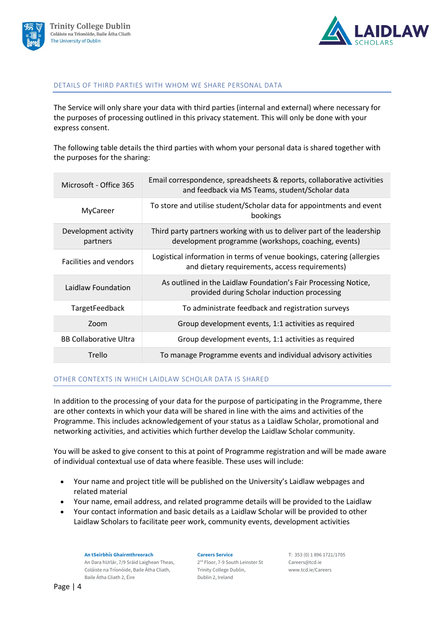



## DETAILS OF THIRD PARTIES WITH WHOM WE SHARE PERSONAL DATA

The Service will only share your data with third parties (internal and external) where necessary for the purposes of processing outlined in this privacy statement. This will only be done with your express consent.

The following table details the third parties with whom your personal data is shared together with the purposes for the sharing:

| Microsoft - Office 365           | Email correspondence, spreadsheets & reports, collaborative activities<br>and feedback via MS Teams, student/Scholar data     |
|----------------------------------|-------------------------------------------------------------------------------------------------------------------------------|
| MyCareer                         | To store and utilise student/Scholar data for appointments and event<br>bookings                                              |
| Development activity<br>partners | Third party partners working with us to deliver part of the leadership<br>development programme (workshops, coaching, events) |
| <b>Facilities and vendors</b>    | Logistical information in terms of venue bookings, catering (allergies<br>and dietary requirements, access requirements)      |
| Laidlaw Foundation               | As outlined in the Laidlaw Foundation's Fair Processing Notice,<br>provided during Scholar induction processing               |
| <b>TargetFeedback</b>            | To administrate feedback and registration surveys                                                                             |
| Zoom                             | Group development events, 1:1 activities as required                                                                          |
| <b>BB Collaborative Ultra</b>    | Group development events, 1:1 activities as required                                                                          |
| Trello                           | To manage Programme events and individual advisory activities                                                                 |

### OTHER CONTEXTS IN WHICH LAIDLAW SCHOLAR DATA IS SHARED

In addition to the processing of your data for the purpose of participating in the Programme, there are other contexts in which your data will be shared in line with the aims and activities of the Programme. This includes acknowledgement of your status as a Laidlaw Scholar, promotional and networking activities, and activities which further develop the Laidlaw Scholar community.

You will be asked to give consent to this at point of Programme registration and will be made aware of individual contextual use of data where feasible. These uses will include:

- Your name and project title will be published on the University's Laidlaw webpages and related material
- Your name, email address, and related programme details will be provided to the Laidlaw
- Your contact information and basic details as a Laidlaw Scholar will be provided to other Laidlaw Scholars to facilitate peer work, community events, development activities

**An tSeirbhís Ghairmthreorach** An Dara hUrlár, 7/9 Sráid Laighean Theas, Coláiste na Tríonóide, Baile Átha Cliath, Baile Átha Cliath 2, Éire

#### **Careers Service**

2 nd Floor, 7-9 South Leinster St Trinity College Dublin, Dublin 2, Ireland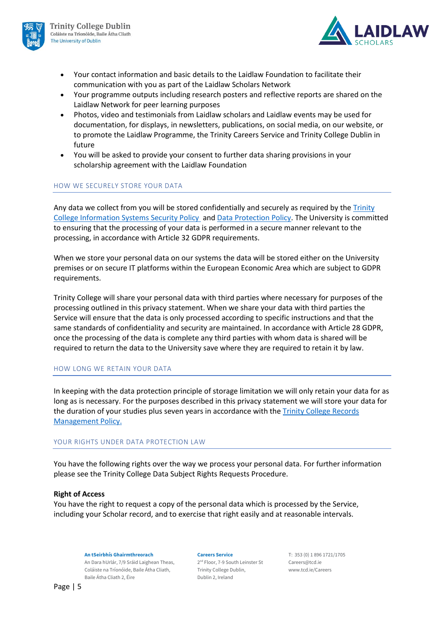



- Your contact information and basic details to the Laidlaw Foundation to facilitate their communication with you as part of the Laidlaw Scholars Network
- Your programme outputs including research posters and reflective reports are shared on the Laidlaw Network for peer learning purposes
- Photos, video and testimonials from Laidlaw scholars and Laidlaw events may be used for documentation, for displays, in newsletters, publications, on social media, on our website, or to promote the Laidlaw Programme, the Trinity Careers Service and Trinity College Dublin in future
- You will be asked to provide your consent to further data sharing provisions in your scholarship agreement with the Laidlaw Foundation

## HOW WE SECURELY STORE YOUR DATA

Any data we collect from you will be stored confidentially and securely as required by the *Trinity* College [Information Systems Security Policy](https://www.tcd.ie/ITSecurity/policies/infosec.php) and [Data Protection Policy.](https://www.tcd.ie/info_compliance/data-protection/policy/) The University is committed to ensuring that the processing of your data is performed in a secure manner relevant to the processing, in accordance with Article 32 GDPR requirements.

When we store your personal data on our systems the data will be stored either on the University premises or on secure IT platforms within the European Economic Area which are subject to GDPR requirements.

Trinity College will share your personal data with third parties where necessary for purposes of the processing outlined in this privacy statement. When we share your data with third parties the Service will ensure that the data is only processed according to specific instructions and that the same standards of confidentiality and security are maintained. In accordance with Article 28 GDPR, once the processing of the data is complete any third parties with whom data is shared will be required to return the data to the University save where they are required to retain it by law.

### HOW LONG WE RETAIN YOUR DATA

In keeping with the data protection principle of storage limitation we will only retain your data for as long as is necessary. For the purposes described in this privacy statement we will store your data for the duration of your studies plus seven years in accordance with the [Trinity College Records](https://www.tcd.ie/about/policies/160713%20Records%20Management%20Policy_website.pdf) [Management Policy.](https://www.tcd.ie/about/policies/160713%20Records%20Management%20Policy_website.pdf)

### YOUR RIGHTS UNDER DATA PROTECTION LAW

You have the following rights over the way we process your personal data. For further information please see the [Trinity College Data Subject Rights Requests Procedure.](https://www.tcd.ie/info_compliance/data-protection/assets/docs/TCD_Data_Subject_Rights_Request_Procedure.pdf)

#### **Right of Access**

You have the right to request a copy of the personal data which is processed by the Service, including your Scholar record, and to exercise that right easily and at reasonable intervals.

**An tSeirbhís Ghairmthreorach** An Dara hUrlár, 7/9 Sráid Laighean Theas, Coláiste na Tríonóide, Baile Átha Cliath, Baile Átha Cliath 2, Éire

#### **Careers Service**

2 nd Floor, 7-9 South Leinster St Trinity College Dublin, Dublin 2, Ireland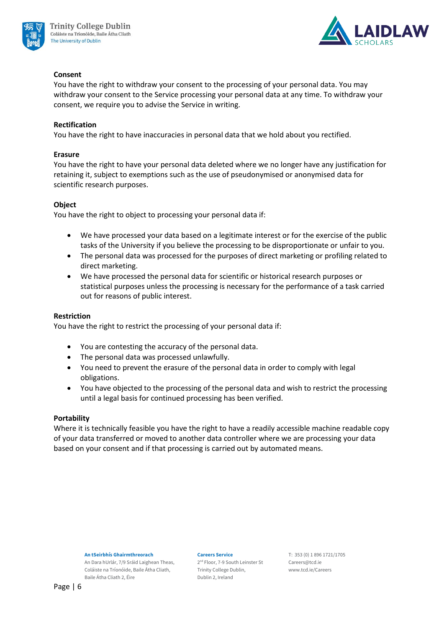



## **Consent**

You have the right to withdraw your consent to the processing of your personal data. You may withdraw your consent to the Service processing your personal data at any time. To withdraw your consent, we require you to advise the Service in writing.

## **Rectification**

You have the right to have inaccuracies in personal data that we hold about you rectified.

## **Erasure**

You have the right to have your personal data deleted where we no longer have any justification for retaining it, subject to exemptions such as the use of pseudonymised or anonymised data for scientific research purposes.

## **Object**

You have the right to object to processing your personal data if:

- We have processed your data based on a legitimate interest or for the exercise of the public tasks of the University if you believe the processing to be disproportionate or unfair to you.
- The personal data was processed for the purposes of direct marketing or profiling related to direct marketing.
- We have processed the personal data for scientific or historical research purposes or statistical purposes unless the processing is necessary for the performance of a task carried out for reasons of public interest.

### **Restriction**

You have the right to restrict the processing of your personal data if:

- You are contesting the accuracy of the personal data.
- The personal data was processed unlawfully.
- You need to prevent the erasure of the personal data in order to comply with legal obligations.
- You have objected to the processing of the personal data and wish to restrict the processing until a legal basis for continued processing has been verified.

### **Portability**

Where it is technically feasible you have the right to have a readily accessible machine readable copy of your data transferred or moved to another data controller where we are processing your data based on your consent and if that processing is carried out by automated means.

**An tSeirbhís Ghairmthreorach**

An Dara hUrlár, 7/9 Sráid Laighean Theas, Coláiste na Tríonóide, Baile Átha Cliath, Baile Átha Cliath 2, Éire

#### **Careers Service**

2 nd Floor, 7-9 South Leinster St Trinity College Dublin, Dublin 2, Ireland